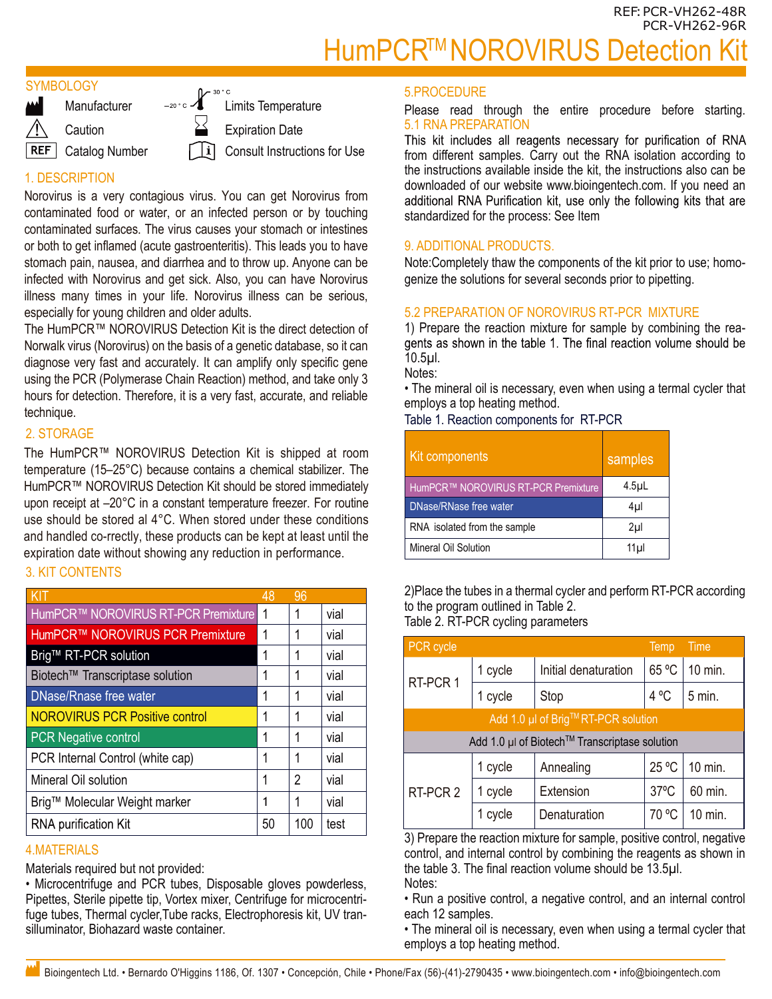# HumPCR<sup>™</sup>NOROVIRUS Detection

## **SYMBOLOGY**

**Manufacturer** 

**Caution** 

REF | Catalog Number

 $\lceil \cdot |i \rceil$ 

-20 ° c / 20 ° c Limits Temperature Expiration Date Consult Instructions for Use

# 1. DESCRIPTION

Norovirus is a very contagious virus. You can get Norovirus from contaminated food or water, or an infected person or by touching contaminated surfaces. The virus causes your stomach or intestines or both to get inflamed (acute gastroenteritis). This leads you to have stomach pain, nausea, and diarrhea and to throw up. Anyone can be infected with Norovirus and get sick. Also, you can have Norovirus illness many times in your life. Norovirus illness can be serious, especially for young children and older adults.

The HumPCR™ NOROVIRUS Detection Kit is the direct detection of Norwalk virus (Norovirus) on the basis of a genetic database, so it can diagnose very fast and accurately. It can amplify only specific gene using the PCR (Polymerase Chain Reaction) method, and take only 3 hours for detection. Therefore, it is a very fast, accurate, and reliable technique.

# 2. STORAGE

The HumPCR™ NOROVIRUS Detection Kit is shipped at room temperature (15–25°C) because contains a chemical stabilizer. The HumPCR™ NOROVIRUS Detection Kit should be stored immediately upon receipt at –20°C in a constant temperature freezer. For routine use should be stored al 4°C. When stored under these conditions and handled co-rrectly, these products can be kept at least until the expiration date without showing any reduction in performance.

# 3. KIT CONTENTS

|                                       | 48 | 96  |      |
|---------------------------------------|----|-----|------|
| HumPCR™ NOROVIRUS RT-PCR Premixture   |    | 1   | vial |
| HumPCR™ NOROVIRUS PCR Premixture      |    | 1   | vial |
| Brig™ RT-PCR solution                 |    | 1   | vial |
| Biotech™ Transcriptase solution       |    | 1   | vial |
| DNase/Rnase free water                |    | 1   | vial |
| <b>NOROVIRUS PCR Positive control</b> |    | 1   | vial |
| <b>PCR</b> Negative control           |    | 1   | vial |
| PCR Internal Control (white cap)      |    | 1   | vial |
| Mineral Oil solution                  |    | 2   | vial |
| Brig™ Molecular Weight marker         |    | 1   | vial |
| RNA purification Kit                  |    | 100 | test |

## 4.MATERIALS

Materials required but not provided:

• Microcentrifuge and PCR tubes, Disposable gloves powderless, Pipettes, Sterile pipette tip, Vortex mixer, Centrifuge for microcentrifuge tubes, Thermal cycler,Tube racks, Electrophoresis kit, UV transilluminator, Biohazard waste container.

#### 5.PROCEDURE

Please read through the entire procedure before starting. 5.1 RNA PREPARATION<br>This kit includes all reagents necessary for purification of RNA

from different samples. Carry out the RNA isolation according to the instructions available inside the kit, the instructions also can be downloaded of our website www.bioingentech.com. If you need an additional RNA Purification kit, use only the following kits that are standardized for the process: See Item

## 9. ADDITIONAL PRODUCTS.

Note:Completely thaw the components of the kit prior to use; homogenize the solutions for several seconds prior to pipetting.

# 5.2 PREPARATION OF NOROVIRUS RT-PCR MIXTURE

1) Prepare the reaction mixture for sample by combining the reagents as shown in the table 1. The final reaction volume should be 10.5µl.

Notes:

• The mineral oil is necessary, even when using a termal cycler that employs a top heating method.

Table 1. Reaction components for RT-PCR

| Kit components                      | samples          |
|-------------------------------------|------------------|
| HumPCR™ NOROVIRUS RT-PCR Premixture | 4.5 <sub>µ</sub> |
| DNase/RNase free water              | 4µl              |
| RNA isolated from the sample        | 2µl              |
| Mineral Oil Solution                | 11 <sub>µ</sub>  |

2)Place the tubes in a thermal cycler and perform RT-PCR according to the program outlined in Table 2. Table 2. RT-PCR cycling parameters

| <b>PCR</b> cycle                              |         |                      | Temp           | Time     |  |
|-----------------------------------------------|---------|----------------------|----------------|----------|--|
| RT-PCR 1                                      | 1 cycle | Initial denaturation | 65 °C          | 10 min.  |  |
|                                               | 1 cycle | Stop                 | 4 °C           | $5$ min. |  |
| Add 1.0 µl of Brig™RT-PCR solution            |         |                      |                |          |  |
| Add 1.0 µl of Biotech™ Transcriptase solution |         |                      |                |          |  |
| RT-PCR 2                                      | 1 cycle | Annealing            | 25 °C          | 10 min.  |  |
|                                               | 1 cycle | Extension            | $37^{\circ}$ C | 60 min.  |  |
|                                               | 1 cycle | Denaturation         | 70 °C          | 10 min.  |  |

3) Prepare the reaction mixture for sample, positive control, negative control, and internal control by combining the reagents as shown in Notes: the table 3. The final reaction volume should be 13.5µl.

• Run a positive control, a negative control, and an internal control each 12 samples.

• The mineral oil is necessary, even when using a termal cycler that employs a top heating method.